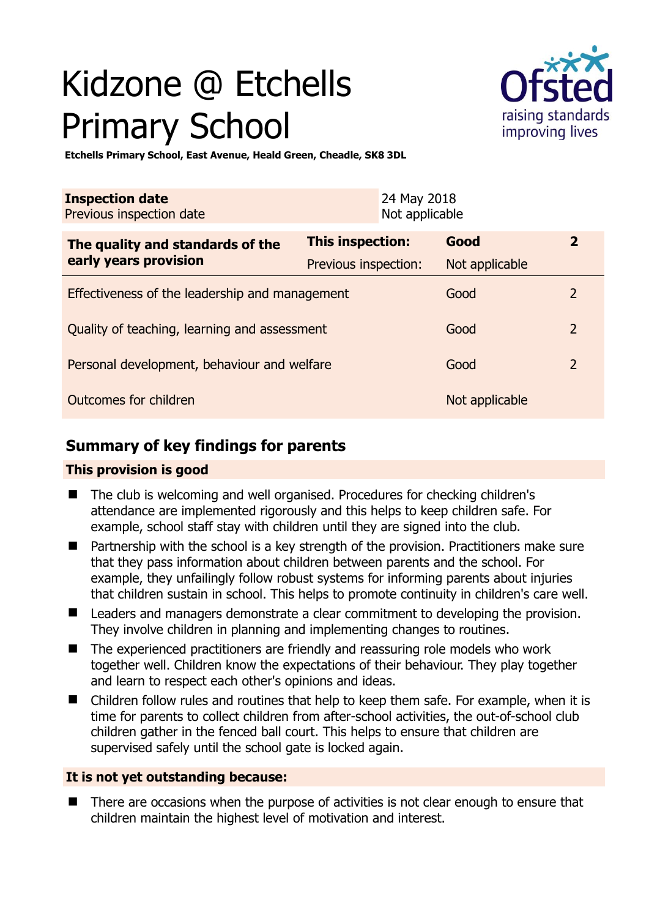# Kidzone @ Etchells Primary School



**Etchells Primary School, East Avenue, Heald Green, Cheadle, SK8 3DL** 

| <b>Inspection date</b><br>Previous inspection date        | 24 May 2018<br>Not applicable |                |                |
|-----------------------------------------------------------|-------------------------------|----------------|----------------|
| The quality and standards of the<br>early years provision | <b>This inspection:</b>       | Good           | $\overline{2}$ |
|                                                           | Previous inspection:          | Not applicable |                |
| Effectiveness of the leadership and management            |                               | Good           | $\overline{2}$ |
| Quality of teaching, learning and assessment              |                               | Good           | $\overline{2}$ |
| Personal development, behaviour and welfare               |                               | Good           | $\overline{2}$ |
| Outcomes for children                                     |                               | Not applicable |                |

# **Summary of key findings for parents**

## **This provision is good**

- The club is welcoming and well organised. Procedures for checking children's attendance are implemented rigorously and this helps to keep children safe. For example, school staff stay with children until they are signed into the club.
- Partnership with the school is a key strength of the provision. Practitioners make sure that they pass information about children between parents and the school. For example, they unfailingly follow robust systems for informing parents about injuries that children sustain in school. This helps to promote continuity in children's care well.
- Leaders and managers demonstrate a clear commitment to developing the provision. They involve children in planning and implementing changes to routines.
- The experienced practitioners are friendly and reassuring role models who work together well. Children know the expectations of their behaviour. They play together and learn to respect each other's opinions and ideas.
- Children follow rules and routines that help to keep them safe. For example, when it is time for parents to collect children from after-school activities, the out-of-school club children gather in the fenced ball court. This helps to ensure that children are supervised safely until the school gate is locked again.

## **It is not yet outstanding because:**

 There are occasions when the purpose of activities is not clear enough to ensure that children maintain the highest level of motivation and interest.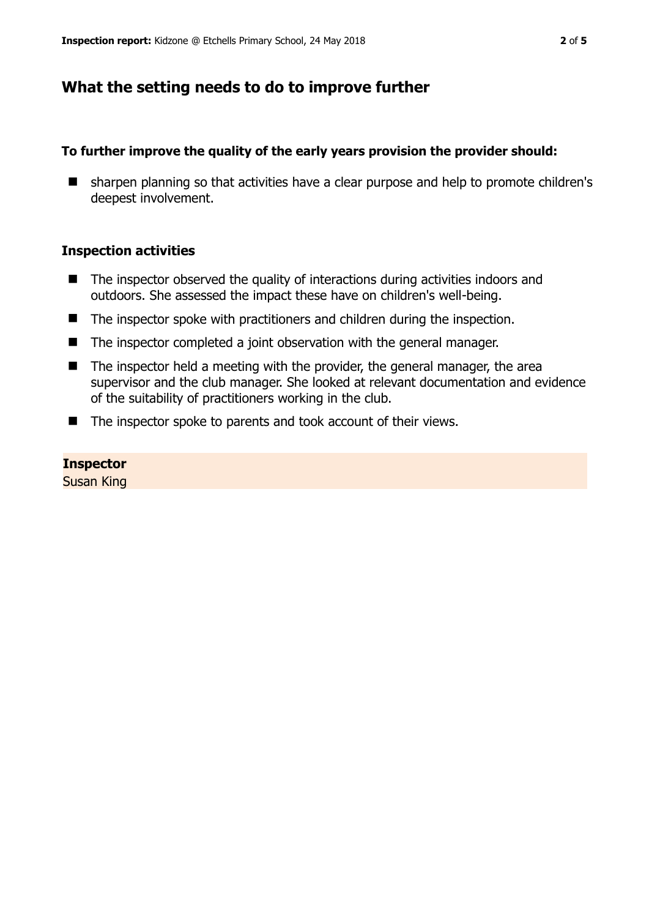# **What the setting needs to do to improve further**

#### **To further improve the quality of the early years provision the provider should:**

**E** sharpen planning so that activities have a clear purpose and help to promote children's deepest involvement.

#### **Inspection activities**

- $\blacksquare$  The inspector observed the quality of interactions during activities indoors and outdoors. She assessed the impact these have on children's well-being.
- The inspector spoke with practitioners and children during the inspection.
- The inspector completed a joint observation with the general manager.
- $\blacksquare$  The inspector held a meeting with the provider, the general manager, the area supervisor and the club manager. She looked at relevant documentation and evidence of the suitability of practitioners working in the club.
- The inspector spoke to parents and took account of their views.

#### **Inspector**

Susan King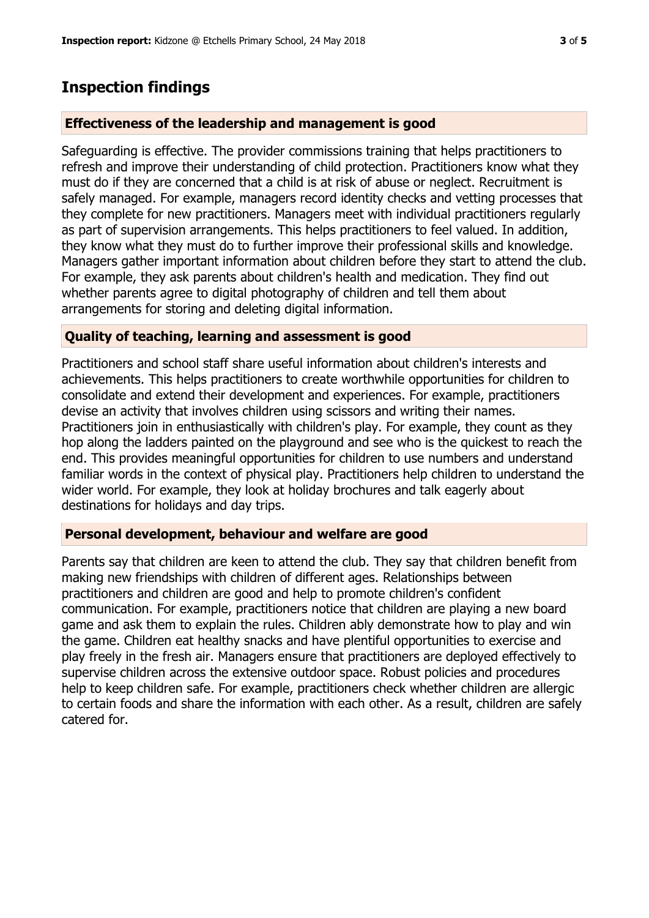## **Inspection findings**

#### **Effectiveness of the leadership and management is good**

Safeguarding is effective. The provider commissions training that helps practitioners to refresh and improve their understanding of child protection. Practitioners know what they must do if they are concerned that a child is at risk of abuse or neglect. Recruitment is safely managed. For example, managers record identity checks and vetting processes that they complete for new practitioners. Managers meet with individual practitioners regularly as part of supervision arrangements. This helps practitioners to feel valued. In addition, they know what they must do to further improve their professional skills and knowledge. Managers gather important information about children before they start to attend the club. For example, they ask parents about children's health and medication. They find out whether parents agree to digital photography of children and tell them about arrangements for storing and deleting digital information.

#### **Quality of teaching, learning and assessment is good**

Practitioners and school staff share useful information about children's interests and achievements. This helps practitioners to create worthwhile opportunities for children to consolidate and extend their development and experiences. For example, practitioners devise an activity that involves children using scissors and writing their names. Practitioners join in enthusiastically with children's play. For example, they count as they hop along the ladders painted on the playground and see who is the quickest to reach the end. This provides meaningful opportunities for children to use numbers and understand familiar words in the context of physical play. Practitioners help children to understand the wider world. For example, they look at holiday brochures and talk eagerly about destinations for holidays and day trips.

#### **Personal development, behaviour and welfare are good**

Parents say that children are keen to attend the club. They say that children benefit from making new friendships with children of different ages. Relationships between practitioners and children are good and help to promote children's confident communication. For example, practitioners notice that children are playing a new board game and ask them to explain the rules. Children ably demonstrate how to play and win the game. Children eat healthy snacks and have plentiful opportunities to exercise and play freely in the fresh air. Managers ensure that practitioners are deployed effectively to supervise children across the extensive outdoor space. Robust policies and procedures help to keep children safe. For example, practitioners check whether children are allergic to certain foods and share the information with each other. As a result, children are safely catered for.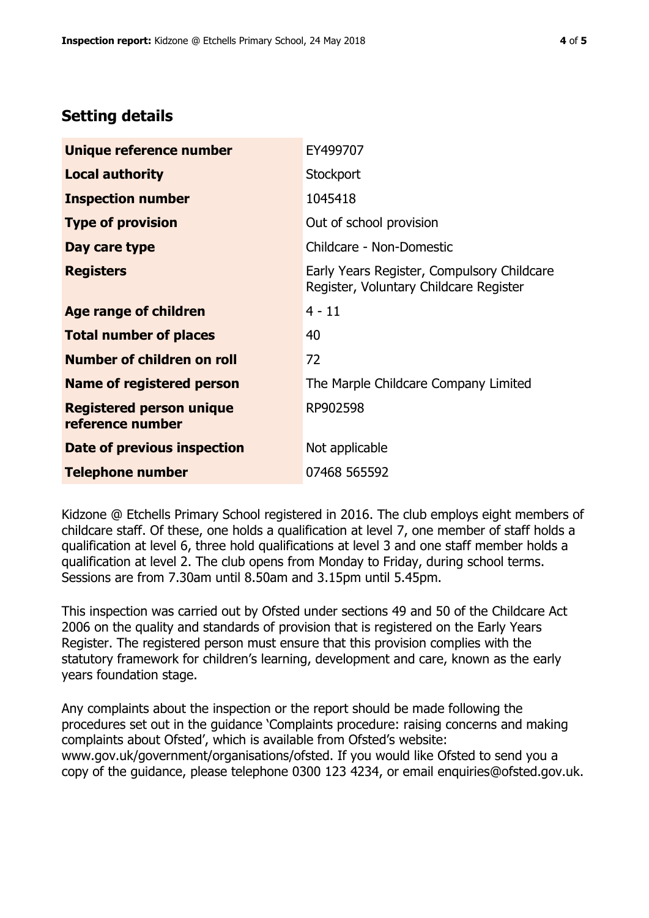## **Setting details**

| Unique reference number                             | EY499707                                                                             |  |
|-----------------------------------------------------|--------------------------------------------------------------------------------------|--|
| <b>Local authority</b>                              | Stockport                                                                            |  |
| <b>Inspection number</b>                            | 1045418                                                                              |  |
| <b>Type of provision</b>                            | Out of school provision                                                              |  |
| Day care type                                       | Childcare - Non-Domestic                                                             |  |
| <b>Registers</b>                                    | Early Years Register, Compulsory Childcare<br>Register, Voluntary Childcare Register |  |
| Age range of children                               | $4 - 11$                                                                             |  |
| <b>Total number of places</b>                       | 40                                                                                   |  |
| Number of children on roll                          | 72                                                                                   |  |
| <b>Name of registered person</b>                    | The Marple Childcare Company Limited                                                 |  |
| <b>Registered person unique</b><br>reference number | RP902598                                                                             |  |
| Date of previous inspection                         | Not applicable                                                                       |  |
| <b>Telephone number</b>                             | 07468 565592                                                                         |  |

Kidzone @ Etchells Primary School registered in 2016. The club employs eight members of childcare staff. Of these, one holds a qualification at level 7, one member of staff holds a qualification at level 6, three hold qualifications at level 3 and one staff member holds a qualification at level 2. The club opens from Monday to Friday, during school terms. Sessions are from 7.30am until 8.50am and 3.15pm until 5.45pm.

This inspection was carried out by Ofsted under sections 49 and 50 of the Childcare Act 2006 on the quality and standards of provision that is registered on the Early Years Register. The registered person must ensure that this provision complies with the statutory framework for children's learning, development and care, known as the early years foundation stage.

Any complaints about the inspection or the report should be made following the procedures set out in the guidance 'Complaints procedure: raising concerns and making complaints about Ofsted', which is available from Ofsted's website: www.gov.uk/government/organisations/ofsted. If you would like Ofsted to send you a copy of the guidance, please telephone 0300 123 4234, or email enquiries@ofsted.gov.uk.